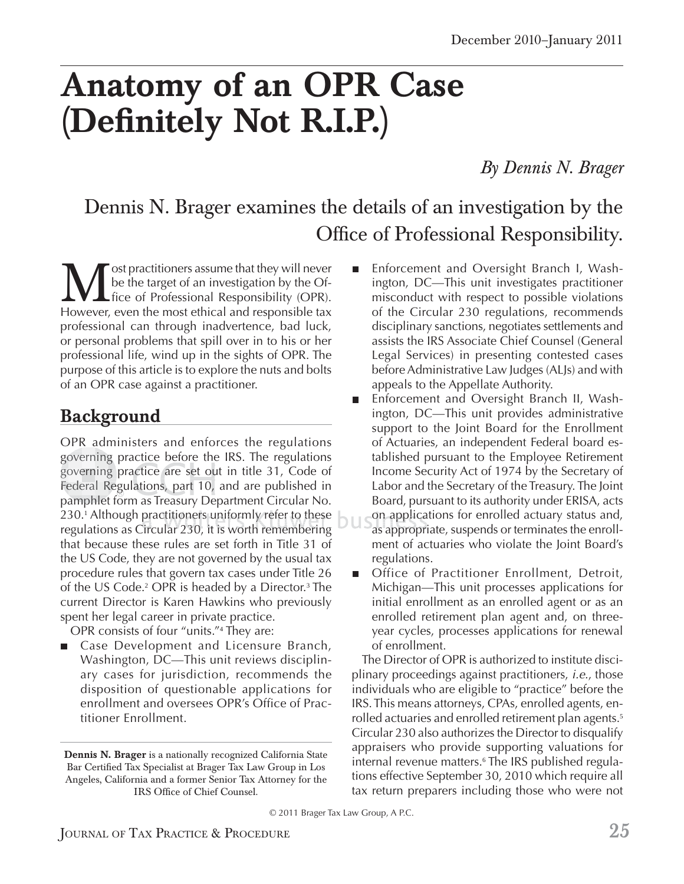# **Anatomy of an OPR Case (Definitely Not R.I.P.)**

*By Dennis N. Brager*

## Dennis N. Brager examines the details of an investigation by the Office of Professional Responsibility.

**M** ost practitioners assume that they will never<br>the the target of an investigation by the Of-<br>However, even the most ethical and responsible tax be the target of an investigation by the Of- $L$  fice of Professional Responsibility (OPR). professional can through inadvertence, bad luck, or personal problems that spill over in to his or her professional life, wind up in the sights of OPR. The purpose of this article is to explore the nuts and bolts of an OPR case against a practitioner.

#### **Background**

OPR administers and enforces the regulations governing practice before the IRS. The regulations governing practice before the IRS. The regulations<br>governing practice are set out in title 31, Code of Federal Regulations, part 10, and are published in pamphlet form as Treasury Department Circular No. amphlet 230.<sup>1</sup> Although practitioners uniformly refer to these 230.' Although practitioners uniformly refer to these<br>regulations as Circular 230, it is worth remembering that because these rules are set forth in Title 31 of the US Code, they are not governed by the usual tax procedure rules that govern tax cases under Title 26 of the US Code.<sup>2</sup> OPR is headed by a Director.<sup>3</sup> The current Director is Karen Hawkins who previously spent her legal career in private practice.

OPR consists of four "units."<sup>4</sup> They are:

Case Development and Licensure Branch, Washington, DC—This unit reviews disciplinary cases for jurisdiction, recommends the disposition of questionable applications for enrollment and oversees OPR's Office of Practitioner Enrollment.

- Enforcement and Oversight Branch I, Washington, DC—This unit investigates practitioner misconduct with respect to possible violations of the Circular 230 regulations, recommends disciplinary sanctions, negotiates settlements and assists the IRS Associate Chief Counsel (General Legal Services) in presenting contested cases before Administrative Law Judges (ALJs) and with appeals to the Appellate Authority.
- Enforcement and Oversight Branch II, Wash- $\blacksquare$ ington, DC—This unit provides administrative support to the Joint Board for the Enrollment of Actuaries, an independent Federal board established pursuant to the Employee Retirement Income Security Act of 1974 by the Secretary of Labor and the Secretary of the Treasury. The Joint Board, pursuant to its authority under ERISA, acts on applications for enrolled actuary status and, o n a pp pli ca as appropriate, suspends or terminates the enroll-a ap pp rop pr ment of actuaries who violate the Joint Board's regulations.
- Office of Practitioner Enrollment, Detroit,  $\mathbf{r}$ Michigan—This unit processes applications for initial enrollment as an enrolled agent or as an enrolled retirement plan agent and, on threeyear cycles, processes applications for renewal of enrollment.

The Director of OPR is authorized to institute disciplinary proceedings against practitioners, *i.e.*, those individuals who are eligible to "practice" before the IRS. This means attorneys, CPAs, enrolled agents, enrolled actuaries and enrolled retirement plan agents.<sup>5</sup> Circular 230 also authorizes the Director to disqualify appraisers who provide supporting valuations for internal revenue matters.<sup>6</sup> The IRS published regulations effective September 30, 2010 which require all tax return preparers including those who were not

© 2011 Brager Tax Law Group, A P.C.

**Dennis N. Brager** is a nationally recognized California State Bar Certified Tax Specialist at Brager Tax Law Group in Los Angeles, California and a former Senior Tax Attorney for the IRS Office of Chief Counsel.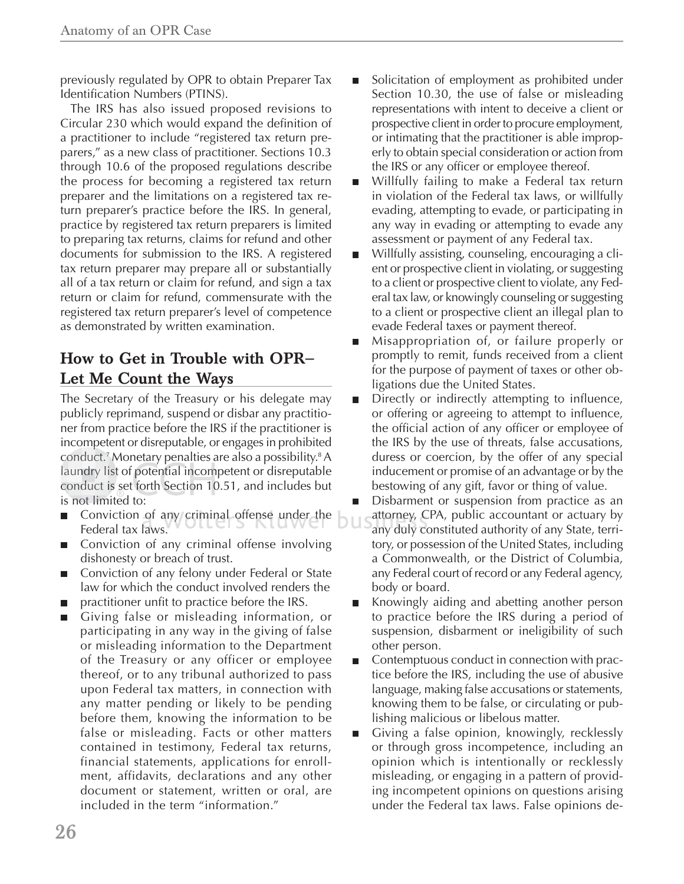previously regulated by OPR to obtain Preparer Tax Identification Numbers (PTINS).

The IRS has also issued proposed revisions to Circular 230 which would expand the definition of a practitioner to include "registered tax return preparers," as a new class of practitioner. Sections 10.3 through 10.6 of the proposed regulations describe the process for becoming a registered tax return preparer and the limitations on a registered tax return preparer's practice before the IRS. In general, practice by registered tax return preparers is limited to preparing tax returns, claims for refund and other documents for submission to the IRS. A registered tax return preparer may prepare all or substantially all of a tax return or claim for refund, and sign a tax return or claim for refund, commensurate with the registered tax return preparer's level of competence as demonstrated by written examination.

#### **How to Get in Trouble with OPR— Let Me Count the Ways**

The Secretary of the Treasury or his delegate may publicly reprimand, suspend or disbar any practitioner from practice before the IRS if the practitioner is incompetent or disreputable, or engages in prohibited p conduct.<sup>7</sup> Monetary penalties are also a possibility.8 A laundry list of potential incompetent or disreputable laundry list of potential incompetent or disreputable<br>conduct is set forth Section 10.51, and includes but is not limited to: lim d

- Conviction of any criminal offense under the  $\Box$  at Federal tax laws. law
- Conviction of any criminal offense involving dishonesty or breach of trust.
- Conviction of any felony under Federal or State law for which the conduct involved renders the
- practitioner unfit to practice before the IRS.
- Giving false or misleading information, or  $\blacksquare$ participating in any way in the giving of false or misleading information to the Department of the Treasury or any officer or employee thereof, or to any tribunal authorized to pass upon Federal tax matters, in connection with any matter pending or likely to be pending before them, knowing the information to be false or misleading. Facts or other matters contained in testimony, Federal tax returns, financial statements, applications for enrollment, affidavits, declarations and any other document or statement, written or oral, are included in the term "information."
- Solicitation of employment as prohibited under п Section 10.30, the use of false or misleading representations with intent to deceive a client or prospective client in order to procure employment, or intimating that the practitioner is able improperly to obtain special consideration or action from the IRS or any officer or employee thereof.
- Willfully failing to make a Federal tax return in violation of the Federal tax laws, or willfully evading, attempting to evade, or participating in any way in evading or attempting to evade any assessment or payment of any Federal tax.
- Willfully assisting, counseling, encouraging a cli- $\blacksquare$ ent or prospective client in violating, or suggesting to a client or prospective client to violate, any Federal tax law, or knowingly counseling or suggesting to a client or prospective client an illegal plan to evade Federal taxes or payment thereof.
- Misappropriation of, or failure properly or  $\blacksquare$ promptly to remit, funds received from a client for the purpose of payment of taxes or other obligations due the United States.
- Directly or indirectly attempting to influence,  $\blacksquare$ or offering or agreeing to attempt to influence, the official action of any officer or employee of the IRS by the use of threats, false accusations, duress or coercion, by the offer of any special inducement or promise of an advantage or by the bestowing of any gift, favor or thing of value.
- Disbarment or suspension from practice as an attorney, CPA, public accountant or actuary by any duly constituted authority of any State, territory, or possession of the United States, including a Commonwealth, or the District of Columbia, any Federal court of record or any Federal agency, body or board.
- Knowingly aiding and abetting another person п to practice before the IRS during a period of suspension, disbarment or ineligibility of such other person.
- Contemptuous conduct in connection with prac- $\blacksquare$ tice before the IRS, including the use of abusive language, making false accusations or statements, knowing them to be false, or circulating or publishing malicious or libelous matter.
- Giving a false opinion, knowingly, recklessly or through gross incompetence, including an opinion which is intentionally or recklessly misleading, or engaging in a pattern of providing incompetent opinions on questions arising under the Federal tax laws. False opinions de-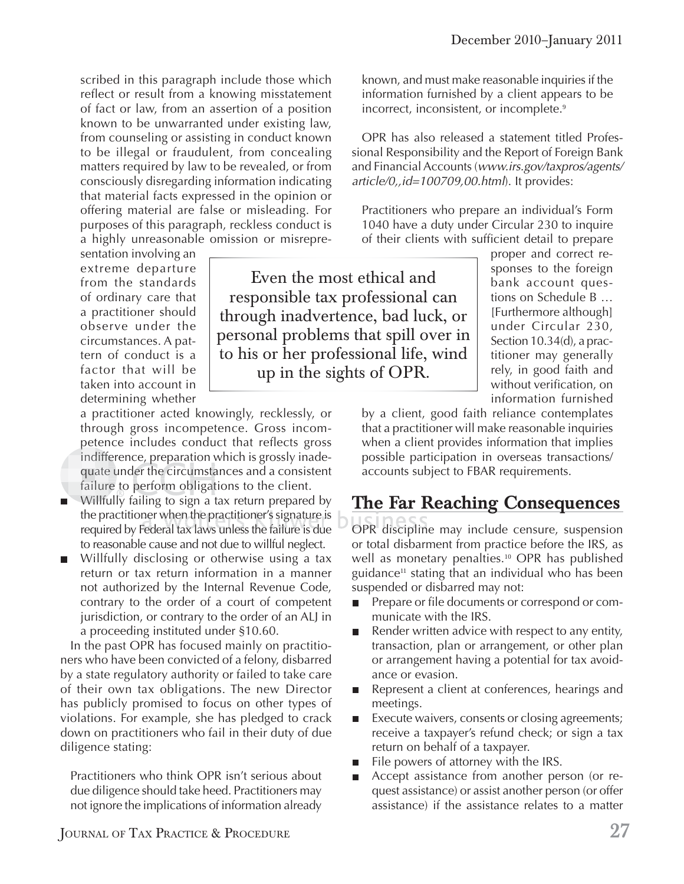scribed in this paragraph include those which reflect or result from a knowing misstatement of fact or law, from an assertion of a position known to be unwarranted under existing law, from counseling or assisting in conduct known to be illegal or fraudulent, from concealing matters required by law to be revealed, or from consciously disregarding information indicating that material facts expressed in the opinion or offering material are false or misleading. For purposes of this paragraph, reckless conduct is a highly unreasonable omission or misrepre-

sentation involving an extreme departure from the standards of ordinary care that a practitioner should observe under the circumstances. A pattern of conduct is a factor that will be taken into account in determining whether

a practitioner acted knowingly, recklessly, or through gross incompetence. Gross incompetence includes conduct that reflects gross indifference, preparation which is grossly inadequate under the circumstances and a consistent failure to perform obligations to the client. fer<br>e u<br>re indiffer<br>quate u

- Willfully failing to sign a tax return prepared by Willfu lthe practitioner when the practitioner's signature is required by Federal tax laws unless the failure is due to reasonable cause and not due to willful neglect.
- Willfully disclosing or otherwise using a tax return or tax return information in a manner not authorized by the Internal Revenue Code, contrary to the order of a court of competent jurisdiction, or contrary to the order of an ALJ in a proceeding instituted under §10.60.

In the past OPR has focused mainly on practitioners who have been convicted of a felony, disbarred by a state regulatory authority or failed to take care of their own tax obligations. The new Director has publicly promised to focus on other types of violations. For example, she has pledged to crack down on practitioners who fail in their duty of due diligence stating:

Practitioners who think OPR isn't serious about due diligence should take heed. Practitioners may not ignore the implications of information already

JOURNAL OF TAX PRACTICE & PROCEDURE **27**

Even the most ethical and responsible tax professional can through inadvertence, bad luck, or personal problems that spill over in to his or her professional life, wind up in the sights of OPR.

known, and must make reasonable inquiries if the information furnished by a client appears to be incorrect, inconsistent, or incomplete.<sup>9</sup>

OPR has also released a statement titled Professional Responsibility and the Report of Foreign Bank and Financial Accounts (*www.irs.gov/taxpros/agents/ article/0,,id=100709,00.html*). It provides:

Practitioners who prepare an individual's Form 1040 have a duty under Circular 230 to inquire of their clients with sufficient detail to prepare

> proper and correct responses to the foreign bank account questions on Schedule B … [Furthermore although] under Circular 230, Section 10.34(d), a practitioner may generally rely, in good faith and without verification, on information furnished

by a client, good faith reliance contemplates that a practitioner will make reasonable inquiries when a client provides information that implies possible participation in overseas transactions/ accounts subject to FBAR requirements.

#### **The Far Reaching Consequences**

ue OPR discipline may include censure, suspension or total disbarment from practice before the IRS, as well as monetary penalties.10 OPR has published guidance<sup>11</sup> stating that an individual who has been suspended or disbarred may not:

- Prepare or file documents or correspond or com- $\blacksquare$ municate with the IRS.
- Render written advice with respect to any entity, transaction, plan or arrangement, or other plan or arrangement having a potential for tax avoidance or evasion.
- Represent a client at conferences, hearings and  $\mathcal{L}_{\mathcal{A}}$ meetings.
- Execute waivers, consents or closing agreements;  $\mathcal{L}_{\mathcal{A}}$ receive a taxpayer's refund check; or sign a tax return on behalf of a taxpayer.
- File powers of attorney with the IRS.  $\mathcal{L}_{\mathcal{A}}$
- Accept assistance from another person (or request assistance) or assist another person (or offer assistance) if the assistance relates to a matter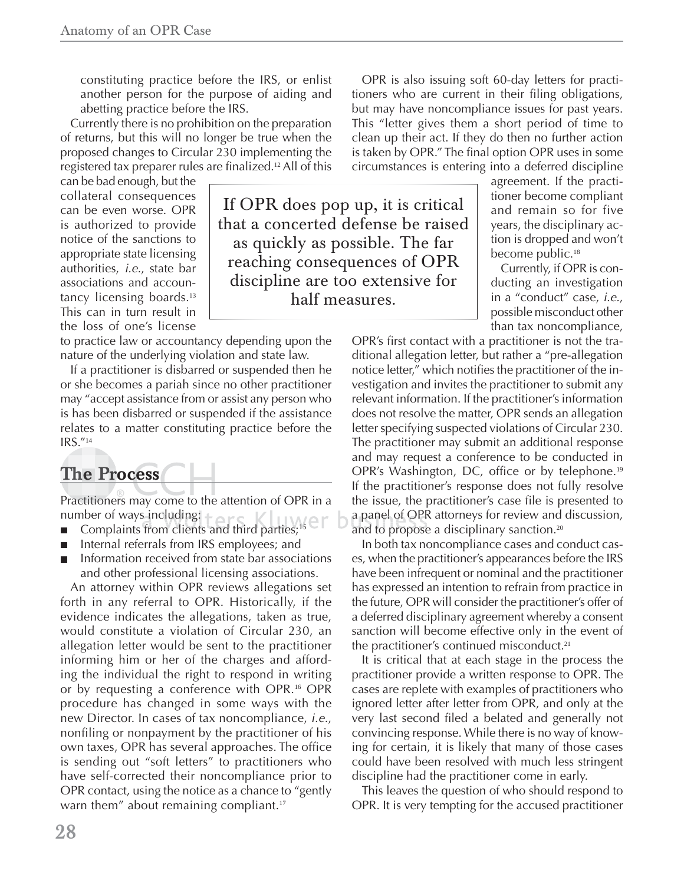constituting practice before the IRS, or enlist another person for the purpose of aiding and abetting practice before the IRS.

Currently there is no prohibition on the preparation of returns, but this will no longer be true when the proposed changes to Circular 230 implementing the registered tax preparer rules are finalized.<sup>12</sup> All of this

can be bad enough, but the collateral consequences can be even worse. OPR is authorized to provide notice of the sanctions to appropriate state licensing authorities, *i.e.*, state bar associations and accountancy licensing boards.<sup>13</sup> This can in turn result in the loss of one's license

to practice law or accountancy depending upon the nature of the underlying violation and state law.

If a practitioner is disbarred or suspended then he or she becomes a pariah since no other practitioner may "accept assistance from or assist any person who is has been disbarred or suspended if the assistance relates to a matter constituting practice before the IRS."<sup>14</sup>

## $\sum$ **Process**

Practitioners may come to the attention of OPR in a number of ways including: her of ways including:<br>Complaints from clients and third parties;<sup>15</sup> CIT b a

- 
- Internal referrals from IRS employees; and
- Information received from state bar associations and other professional licensing associations.

An attorney within OPR reviews allegations set forth in any referral to OPR. Historically, if the evidence indicates the allegations, taken as true, would constitute a violation of Circular 230, an allegation letter would be sent to the practitioner informing him or her of the charges and affording the individual the right to respond in writing or by requesting a conference with OPR.16 OPR procedure has changed in some ways with the new Director. In cases of tax noncompliance, *i.e.*, nonfiling or nonpayment by the practitioner of his own taxes, OPR has several approaches. The office is sending out "soft letters" to practitioners who have self-corrected their noncompliance prior to OPR contact, using the notice as a chance to "gently warn them" about remaining compliant.<sup>17</sup>

If OPR does pop up, it is critical that a concerted defense be raised as quickly as possible. The far reaching consequences of OPR discipline are too extensive for half measures.

OPR is also issuing soft 60-day letters for practitioners who are current in their filing obligations, but may have noncompliance issues for past years. This "letter gives them a short period of time to clean up their act. If they do then no further action is taken by OPR." The final option OPR uses in some circumstances is entering into a deferred discipline

> agreement. If the practitioner become compliant and remain so for five years, the disciplinary action is dropped and won't become public.<sup>18</sup>

> Currently, if OPR is conducting an investigation in a "conduct" case, *i.e.*, possible misconduct other than tax noncompliance,

OPR's first contact with a practitioner is not the traditional allegation letter, but rather a "pre-allegation notice letter," which notifies the practitioner of the investigation and invites the practitioner to submit any relevant information. If the practitioner's information does not resolve the matter, OPR sends an allegation letter specifying suspected violations of Circular 230. The practitioner may submit an additional response and may request a conference to be conducted in OPR's Washington, DC, office or by telephone.<sup>19</sup> If the practitioner's response does not fully resolve the issue, the practitioner's case file is presented to a panel of OPR attorneys for review and discussion, pa n el O PR and to propose a disciplinary sanction.<sup>20</sup>

In both tax noncompliance cases and conduct cases, when the practitioner's appearances before the IRS have been infrequent or nominal and the practitioner has expressed an intention to refrain from practice in the future, OPR will consider the practitioner's offer of a deferred disciplinary agreement whereby a consent sanction will become effective only in the event of the practitioner's continued misconduct.<sup>21</sup>

It is critical that at each stage in the process the practitioner provide a written response to OPR. The cases are replete with examples of practitioners who ignored letter after letter from OPR, and only at the very last second filed a belated and generally not convincing response. While there is no way of knowing for certain, it is likely that many of those cases could have been resolved with much less stringent discipline had the practitioner come in early.

This leaves the question of who should respond to OPR. It is very tempting for the accused practitioner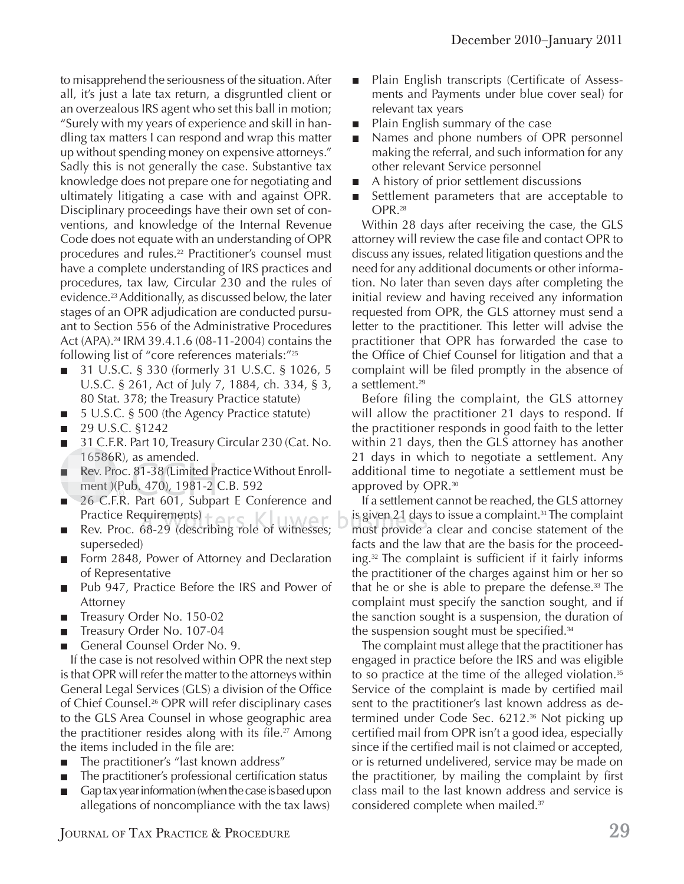to misapprehend the seriousness of the situation. After all, it's just a late tax return, a disgruntled client or an overzealous IRS agent who set this ball in motion; "Surely with my years of experience and skill in handling tax matters I can respond and wrap this matter up without spending money on expensive attorneys." Sadly this is not generally the case. Substantive tax knowledge does not prepare one for negotiating and ultimately litigating a case with and against OPR. Disciplinary proceedings have their own set of conventions, and knowledge of the Internal Revenue Code does not equate with an understanding of OPR procedures and rules.<sup>22</sup> Practitioner's counsel must have a complete understanding of IRS practices and procedures, tax law, Circular 230 and the rules of evidence.23 Additionally, as discussed below, the later stages of an OPR adjudication are conducted pursuant to Section 556 of the Administrative Procedures Act (APA).<sup>24</sup> IRM 39.4.1.6 (08-11-2004) contains the following list of "core references materials:"<sup>25</sup>

- 31 U.S.C. § 330 (formerly 31 U.S.C. § 1026, 5 U.S.C. § 261, Act of July 7, 1884, ch. 334, § 3, 80 Stat. 378; the Treasury Practice statute)
- 5 U.S.C. § 500 (the Agency Practice statute)  $\blacksquare$
- 29 U.S.C. §1242 ш
- 31 C.F.R. Part 10, Treasury Circular 230 (Cat. No. п 16586R), as amended. 1658 6 1 165
- 5586R)<br>ev. Proc<br>ent )(P Rev. Proc. 81-38 (Limited Practice Without Enrollш ment )(Pub. 470), 1981-2 C.B. 592
- 26 C.F.R. Part 601, Subpart E Conference and 26 C RPractice Requirements)
- Practice Requirements)<br>Rev. Proc. 68-29 (describing role of witnesses; superseded)
- Form 2848, Power of Attorney and Declaration of Representative
- Pub 947, Practice Before the IRS and Power of Attorney
- Treasury Order No. 150-02  $\blacksquare$
- Treasury Order No. 107-04
- General Counsel Order No. 9.

If the case is not resolved within OPR the next step is that OPR will refer the matter to the attorneys within General Legal Services (GLS) a division of the Office of Chief Counsel.26 OPR will refer disciplinary cases to the GLS Area Counsel in whose geographic area the practitioner resides along with its file.<sup>27</sup> Among the items included in the file are:

- The practitioner's "last known address"
- The practitioner's professional certification status
- Gap tax year information (when the case is based upon allegations of noncompliance with the tax laws)
- Plain English transcripts (Certificate of Assessп ments and Payments under blue cover seal) for relevant tax years
- Plain English summary of the case  $\mathcal{L}_{\mathcal{A}}$
- Names and phone numbers of OPR personnel making the referral, and such information for any other relevant Service personnel
- A history of prior settlement discussions
- Settlement parameters that are acceptable to OPR.<sup>28</sup>

Within 28 days after receiving the case, the GLS attorney will review the case file and contact OPR to discuss any issues, related litigation questions and the need for any additional documents or other information. No later than seven days after completing the initial review and having received any information requested from OPR, the GLS attorney must send a letter to the practitioner. This letter will advise the practitioner that OPR has forwarded the case to the Office of Chief Counsel for litigation and that a complaint will be filed promptly in the absence of a settlement.<sup>29</sup>

Before filing the complaint, the GLS attorney will allow the practitioner 21 days to respond. If the practitioner responds in good faith to the letter within 21 days, then the GLS attorney has another 21 days in which to negotiate a settlement. Any additional time to negotiate a settlement must be approved by OPR.<sup>30</sup>

If a settlement cannot be reached, the GLS attorney is given 21 days to issue a complaint. $^{31}$  The complaint must provide a clear and concise statement of the facts and the law that are the basis for the proceeding.<sup>32</sup> The complaint is sufficient if it fairly informs the practitioner of the charges against him or her so that he or she is able to prepare the defense.33 The complaint must specify the sanction sought, and if the sanction sought is a suspension, the duration of the suspension sought must be specified. $34$ 

The complaint must allege that the practitioner has engaged in practice before the IRS and was eligible to so practice at the time of the alleged violation.<sup>35</sup> Service of the complaint is made by certified mail sent to the practitioner's last known address as determined under Code Sec. 6212.36 Not picking up certified mail from OPR isn't a good idea, especially since if the certified mail is not claimed or accepted, or is returned undelivered, service may be made on the practitioner, by mailing the complaint by first class mail to the last known address and service is considered complete when mailed.<sup>37</sup>

JOURNAL OF TAX PRACTICE & PROCEDURE **29**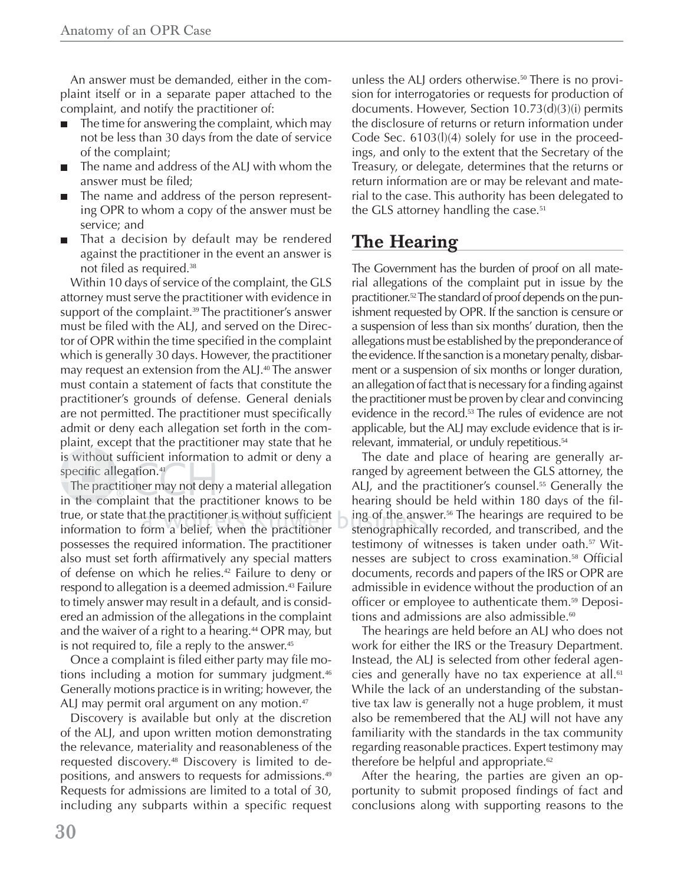An answer must be demanded, either in the complaint itself or in a separate paper attached to the complaint, and notify the practitioner of:

- The time for answering the complaint, which may not be less than 30 days from the date of service of the complaint;
- The name and address of the ALJ with whom the answer must be filed:
- The name and address of the person representing OPR to whom a copy of the answer must be service; and
- That a decision by default may be rendered against the practitioner in the event an answer is not filed as required.<sup>38</sup>

Within 10 days of service of the complaint, the GLS attorney must serve the practitioner with evidence in support of the complaint.<sup>39</sup> The practitioner's answer must be filed with the ALJ, and served on the Director of OPR within the time specified in the complaint which is generally 30 days. However, the practitioner may request an extension from the ALJ.<sup>40</sup> The answer must contain a statement of facts that constitute the practitioner's grounds of defense. General denials are not permitted. The practitioner must specifically admit or deny each allegation set forth in the complaint, except that the practitioner may state that he , is without sufficient information to admit or deny a specific allegation.<sup>41</sup>

The practitioner may not deny a material allegation in the complaint that the practitioner knows to be true, or state that the practitioner is without sufficient information to form a belief, when the practitioner possesses the required information. The practitioner also must set forth affirmatively any special matters of defense on which he relies.42 Failure to deny or respond to allegation is a deemed admission.<sup>43</sup> Failure to timely answer may result in a default, and is considered an admission of the allegations in the complaint and the waiver of a right to a hearing.<sup>44</sup> OPR may, but is not required to, file a reply to the answer. $45$ 

Once a complaint is filed either party may file motions including a motion for summary judgment.<sup>46</sup> Generally motions practice is in writing; however, the ALJ may permit oral argument on any motion.<sup>47</sup>

Discovery is available but only at the discretion of the ALJ, and upon written motion demonstrating the relevance, materiality and reasonableness of the requested discovery.48 Discovery is limited to depositions, and answers to requests for admissions.<sup>49</sup> Requests for admissions are limited to a total of 30, including any subparts within a specific request unless the ALJ orders otherwise.<sup>50</sup> There is no provision for interrogatories or requests for production of documents. However, Section 10.73(d)(3)(i) permits the disclosure of returns or return information under Code Sec. 6103(l)(4) solely for use in the proceedings, and only to the extent that the Secretary of the Treasury, or delegate, determines that the returns or return information are or may be relevant and material to the case. This authority has been delegated to the GLS attorney handling the case. $51$ 

### **The Hearing**

The Government has the burden of proof on all material allegations of the complaint put in issue by the practitioner.52 The standard of proof depends on the punishment requested by OPR. If the sanction is censure or a suspension of less than six months' duration, then the allegations must be established by the preponderance of the evidence. If the sanction is a monetary penalty, disbarment or a suspension of six months or longer duration, an allegation of fact that is necessary for a finding against the practitioner must be proven by clear and convincing evidence in the record.<sup>53</sup> The rules of evidence are not applicable, but the ALJ may exclude evidence that is irrelevant, immaterial, or unduly repetitious.<sup>54</sup>

The date and place of hearing are generally arranged by agreement between the GLS attorney, the ALJ, and the practitioner's counsel.<sup>55</sup> Generally the hearing should be held within 180 days of the filing of the answer.<sup>56</sup> The hearings are required to be stenographically recorded, and transcribed, and the testimony of witnesses is taken under oath.<sup>57</sup> Witnesses are subject to cross examination.<sup>58</sup> Official documents, records and papers of the IRS or OPR are admissible in evidence without the production of an officer or employee to authenticate them.<sup>59</sup> Depositions and admissions are also admissible. $60$ 

The hearings are held before an ALJ who does not work for either the IRS or the Treasury Department. Instead, the ALJ is selected from other federal agencies and generally have no tax experience at all.<sup>61</sup> While the lack of an understanding of the substantive tax law is generally not a huge problem, it must also be remembered that the ALJ will not have any familiarity with the standards in the tax community regarding reasonable practices. Expert testimony may therefore be helpful and appropriate. $62$ 

After the hearing, the parties are given an opportunity to submit proposed findings of fact and conclusions along with supporting reasons to the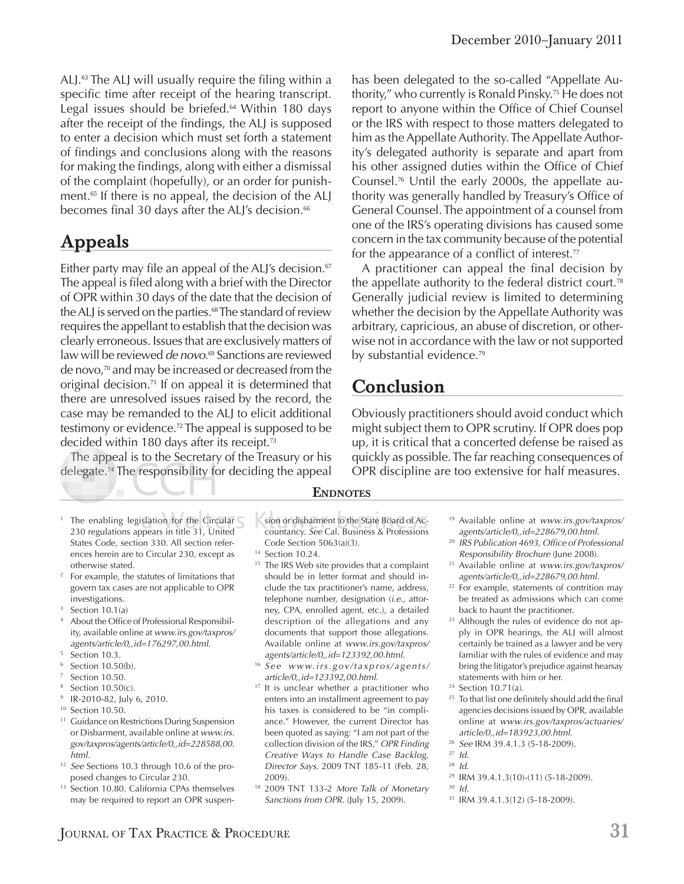ALJ. $63$  The ALJ will usually require the filing within a specific time after receipt of the hearing transcript. Legal issues should be briefed.<sup>64</sup> Within 180 days after the receipt of the findings, the ALJ is supposed to enter a decision which must set forth a statement of findings and conclusions along with the reasons for making the findings, along with either a dismissal of the complaint (hopefully), or an order for punishment.<sup>65</sup> If there is no appeal, the decision of the ALJ becomes final 30 days after the ALJ's decision.<sup>66</sup>

#### **Appeals**

Either party may file an appeal of the ALJ's decision.<sup>67</sup> The appeal is filed along with a brief with the Director of OPR within 30 days of the date that the decision of the ALJ is served on the parties.<sup>68</sup> The standard of review requires the appellant to establish that the decision was clearly erroneous. Issues that are exclusively matters of law will be reviewed *de novo*. <sup>69</sup> Sanctions are reviewed de novo,70 and may be increased or decreased from the original decision.<sup>71</sup> If on appeal it is determined that there are unresolved issues raised by the record, the case may be remanded to the ALJ to elicit additional testimony or evidence.72 The appeal is supposed to be decided within 180 days after its receipt.<sup>73</sup>

The appeal is to the Secretary of the Treasury or his appe Th he a appdelegate.<sup>74</sup> The responsibility for deciding the appeal

- 1 The enabling legislation for the Circular 230 regulations appears in title 31, United States Code, section 330. All section references herein are to Circular 230, except as otherwise stated.
- 2 For example, the statutes of limitations that govern tax cases are not applicable to OPR investigations.
- 3 Section 10.1(a)
- <sup>4</sup> About the Office of Professional Responsibility, available online at *www.irs.gov/taxpros/ agents/article/0,,id=176297,00.html*.
- 5 Section 10.3.
- 6 Section 10.50(b).
- 7 Section 10.50.
- 8 Section 10.50(c).
- 9 IR-2010-82, July 6, 2010.
- <sup>10</sup> Section 10.50.
- <sup>11</sup> Guidance on Restrictions During Suspension or Disbarment, available online at *www.irs. gov/taxpros/agents/article/0,,id=228588,00. html*.
- <sup>12</sup> *See* Sections 10.3 through 10.6 of the proposed changes to Circular 230.
- <sup>13</sup> Section 10.80. California CPAs themselves may be required to report an OPR suspen-

has been delegated to the so-called "Appellate Authority," who currently is Ronald Pinsky.75 He does not report to anyone within the Office of Chief Counsel or the IRS with respect to those matters delegated to him as the Appellate Authority. The Appellate Authority's delegated authority is separate and apart from his other assigned duties within the Office of Chief Counsel.76 Until the early 2000s, the appellate authority was generally handled by Treasury's Office of General Counsel. The appointment of a counsel from one of the IRS's operating divisions has caused some concern in the tax community because of the potential for the appearance of a conflict of interest. $77$ 

A practitioner can appeal the final decision by the appellate authority to the federal district court.<sup>78</sup> Generally judicial review is limited to determining whether the decision by the Appellate Authority was arbitrary, capricious, an abuse of discretion, or otherwise not in accordance with the law or not supported by substantial evidence.<sup>79</sup>

#### **Conclusion**

Obviously practitioners should avoid conduct which might subject them to OPR scrutiny. If OPR does pop up, it is critical that a concerted defense be raised as quickly as possible. The far reaching consequences of OPR discipline are too extensive for half measures.

#### **ENDNOTES**

sion or disbarment to the State Board of Accountancy. *See* Cal. Business & Professions f Code Section 5063(a)(3).

- <sup>14</sup> Section 10.24.
- <sup>15</sup> The IRS Web site provides that a complaint should be in letter format and should include the tax practitioner's name, address, telephone number, designation (*i.e.*, attorney, CPA, enrolled agent, etc.), a detailed description of the allegations and any documents that support those allegations. Available online at *www.irs.gov/taxpros/ agents/article/0,,id=123392,00.html*. 16 *See www.irs.gov/taxpros/agents/*
- *article/0,,id=123392,00.html*.
- <sup>17</sup> It is unclear whether a practitioner who enters into an installment agreement to pay his taxes is considered to be "in compliance." However, the current Director has been quoted as saying: "I am not part of the collection division of the IRS," *OPR Finding Creative Ways to Handle Case Backlog, Director Says.* 2009 TNT 185-11 (Feb. 28, 2009).
- 18 2009 TNT 133-2 *More Talk of Monetary Sanctions from OPR*. (July 15, 2009).
- 19 Available online at *www.irs.gov/taxpros/ agents/article/0,,id=228679,00.html*.
- <sup>20</sup> *IRS Publication 4693, Office of Professional Responsibility Brochure* (June 2008).
- 21 Available online at *www.irs.gov/taxpros/ agents/article/0,,id=228679,00.html*.
- <sup>22</sup> For example, statements of contrition may be treated as admissions which can come back to haunt the practitioner.
- <sup>23</sup> Although the rules of evidence do not apply in OPR hearings, the ALJ will almost certainly be trained as a lawyer and be very familiar with the rules of evidence and may bring the litigator's prejudice against hearsay statements with him or her.
- 24 Section 10.71(a).
- <sup>25</sup> To that list one definitely should add the final agencies decisions issued by OPR, available online at *www.irs.gov/taxpros/actuaries/*
- *article/0,,id=183923,00.html*. 26 *See* IRM 39.4.1.3 (5-18-2009).

<sup>28</sup> *Id*.

<sup>30</sup> *Id.*

31 IRM 39.4.1.3(12) (5-18-2009).

<sup>27</sup> *Id*.

<sup>29</sup> IRM 39.4.1.3(10)-(11) (5-18-2009).